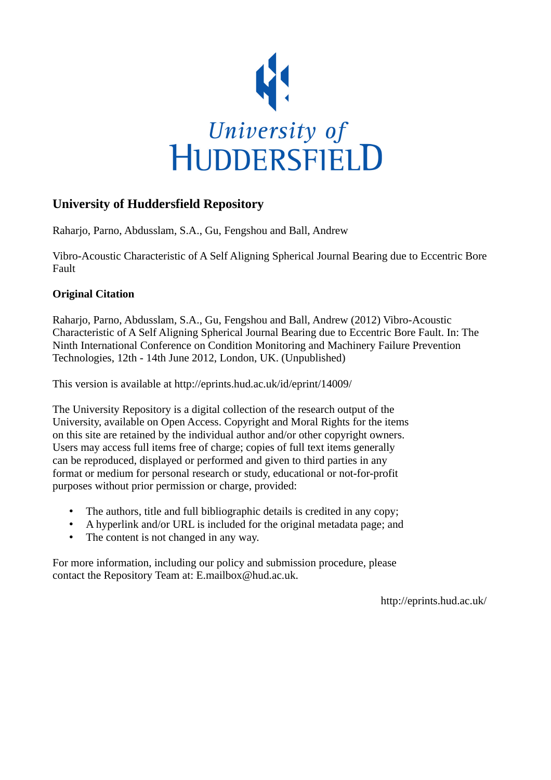

# **University of Huddersfield Repository**

Raharjo, Parno, Abdusslam, S.A., Gu, Fengshou and Ball, Andrew

Vibro-Acoustic Characteristic of A Self Aligning Spherical Journal Bearing due to Eccentric Bore Fault

# **Original Citation**

Raharjo, Parno, Abdusslam, S.A., Gu, Fengshou and Ball, Andrew (2012) Vibro-Acoustic Characteristic of A Self Aligning Spherical Journal Bearing due to Eccentric Bore Fault. In: The Ninth International Conference on Condition Monitoring and Machinery Failure Prevention Technologies, 12th - 14th June 2012, London, UK. (Unpublished)

This version is available at http://eprints.hud.ac.uk/id/eprint/14009/

The University Repository is a digital collection of the research output of the University, available on Open Access. Copyright and Moral Rights for the items on this site are retained by the individual author and/or other copyright owners. Users may access full items free of charge; copies of full text items generally can be reproduced, displayed or performed and given to third parties in any format or medium for personal research or study, educational or not-for-profit purposes without prior permission or charge, provided:

- The authors, title and full bibliographic details is credited in any copy;
- A hyperlink and/or URL is included for the original metadata page; and
- The content is not changed in any way.

For more information, including our policy and submission procedure, please contact the Repository Team at: E.mailbox@hud.ac.uk.

http://eprints.hud.ac.uk/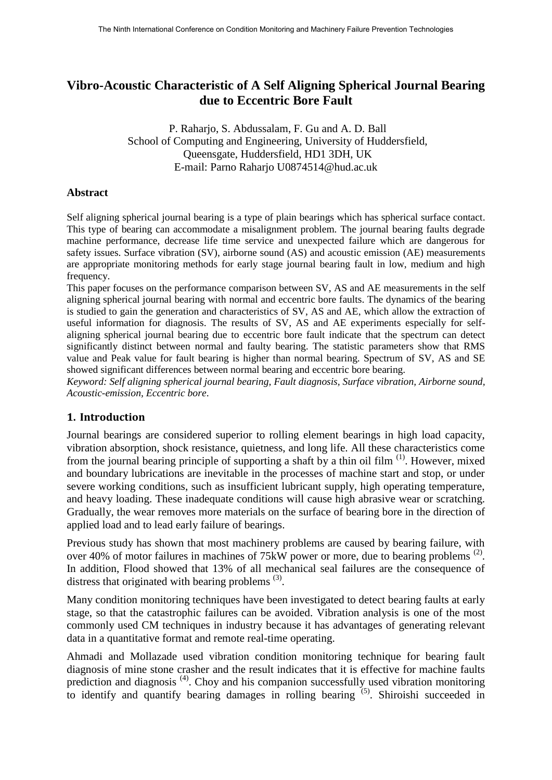# **Vibro-Acoustic Characteristic of A Self Aligning Spherical Journal Bearing due to Eccentric Bore Fault**

P. Raharjo, S. Abdussalam, F. Gu and A. D. Ball School of Computing and Engineering, University of Huddersfield, Queensgate, Huddersfield, HD1 3DH, UK E-mail: Parno Raharjo U0874514@hud.ac.uk

#### **Abstract**

Self aligning spherical journal bearing is a type of plain bearings which has spherical surface contact. This type of bearing can accommodate a misalignment problem. The journal bearing faults degrade machine performance, decrease life time service and unexpected failure which are dangerous for safety issues. Surface vibration (SV), airborne sound (AS) and acoustic emission (AE) measurements are appropriate monitoring methods for early stage journal bearing fault in low, medium and high frequency.

This paper focuses on the performance comparison between SV, AS and AE measurements in the self aligning spherical journal bearing with normal and eccentric bore faults. The dynamics of the bearing is studied to gain the generation and characteristics of SV, AS and AE, which allow the extraction of useful information for diagnosis. The results of SV, AS and AE experiments especially for selfaligning spherical journal bearing due to eccentric bore fault indicate that the spectrum can detect significantly distinct between normal and faulty bearing. The statistic parameters show that RMS value and Peak value for fault bearing is higher than normal bearing. Spectrum of SV, AS and SE showed significant differences between normal bearing and eccentric bore bearing.

*Keyword: Self aligning spherical journal bearing, Fault diagnosis, Surface vibration, Airborne sound, Acoustic-emission, Eccentric bore*.

### **1. Introduction**

Journal bearings are considered superior to rolling element bearings in high load capacity, vibration absorption, shock resistance, quietness, and long life. All these characteristics come from the journal bearing principle of supporting a shaft by a thin oil film (1). However, mixed and boundary lubrications are inevitable in the processes of machine start and stop, or under severe working conditions, such as insufficient lubricant supply, high operating temperature, and heavy loading. These inadequate conditions will cause high abrasive wear or scratching. Gradually, the wear removes more materials on the surface of bearing bore in the direction of applied load and to lead early failure of bearings.

Previous study has shown that most machinery problems are caused by bearing failure, with over 40% of motor failures in machines of  $75\text{kW}$  power or more, due to bearing problems <sup>(2)</sup>. In addition, Flood showed that 13% of all mechanical seal failures are the consequence of distress that originated with bearing problems  $(3)$ .

Many condition monitoring techniques have been investigated to detect bearing faults at early stage, so that the catastrophic failures can be avoided. Vibration analysis is one of the most commonly used CM techniques in industry because it has advantages of generating relevant data in a quantitative format and remote real-time operating.

Ahmadi and Mollazade used vibration condition monitoring technique for bearing fault diagnosis of mine stone crasher and the result indicates that it is effective for machine faults prediction and diagnosis<sup>(4)</sup>. Choy and his companion successfully used vibration monitoring to identify and quantify bearing damages in rolling bearing <sup>(5)</sup>. Shiroishi succeeded in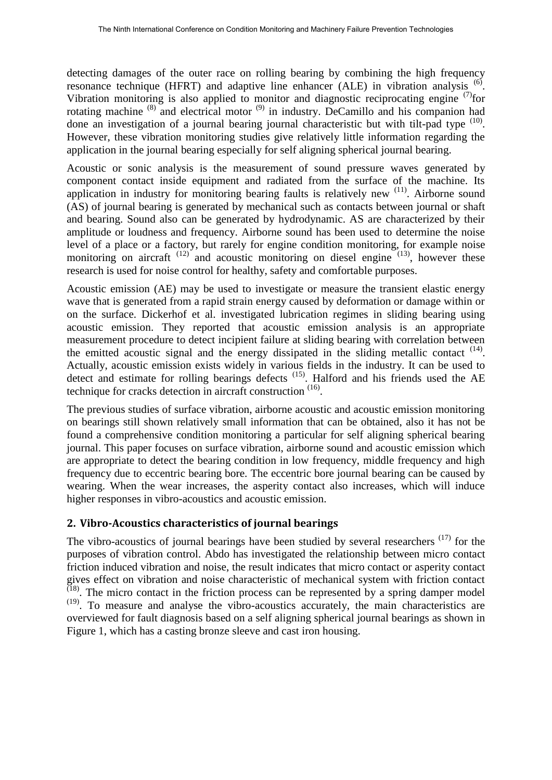detecting damages of the outer race on rolling bearing by combining the high frequency resonance technique (HFRT) and adaptive line enhancer (ALE) in vibration analysis <sup>(6)</sup>. Vibration monitoring is also applied to monitor and diagnostic reciprocating engine  $^{(7)}$ for rotating machine  $(8)$  and electrical motor  $(9)$  in industry. DeCamillo and his companion had done an investigation of a journal bearing journal characteristic but with tilt-pad type  $(10)$ . However, these vibration monitoring studies give relatively little information regarding the application in the journal bearing especially for self aligning spherical journal bearing.

Acoustic or sonic analysis is the measurement of sound pressure waves generated by component contact inside equipment and radiated from the surface of the machine. Its application in industry for monitoring bearing faults is relatively new <sup>(11)</sup>. Airborne sound (AS) of journal bearing is generated by mechanical such as contacts between journal or shaft and bearing. Sound also can be generated by hydrodynamic. AS are characterized by their amplitude or loudness and frequency. Airborne sound has been used to determine the noise level of a place or a factory, but rarely for engine condition monitoring, for example noise monitoring on aircraft  $(12)$  and acoustic monitoring on diesel engine  $(13)$ , however these research is used for noise control for healthy, safety and comfortable purposes.

Acoustic emission (AE) may be used to investigate or measure the transient elastic energy wave that is generated from a rapid strain energy caused by deformation or damage within or on the surface. Dickerhof et al. investigated lubrication regimes in sliding bearing using acoustic emission. They reported that acoustic emission analysis is an appropriate measurement procedure to detect incipient failure at sliding bearing with correlation between the emitted acoustic signal and the energy dissipated in the sliding metallic contact  $(14)$ . Actually, acoustic emission exists widely in various fields in the industry. It can be used to detect and estimate for rolling bearings defects  $(15)$ . Halford and his friends used the AE technique for cracks detection in aircraft construction  $(16)$ .

The previous studies of surface vibration, airborne acoustic and acoustic emission monitoring on bearings still shown relatively small information that can be obtained, also it has not be found a comprehensive condition monitoring a particular for self aligning spherical bearing journal. This paper focuses on surface vibration, airborne sound and acoustic emission which are appropriate to detect the bearing condition in low frequency, middle frequency and high frequency due to eccentric bearing bore. The eccentric bore journal bearing can be caused by wearing. When the wear increases, the asperity contact also increases, which will induce higher responses in vibro-acoustics and acoustic emission.

## **2. Vibro-Acoustics characteristics of journal bearings**

The vibro-acoustics of journal bearings have been studied by several researchers  $(17)$  for the purposes of vibration control. Abdo has investigated the relationship between micro contact friction induced vibration and noise, the result indicates that micro contact or asperity contact gives effect on vibration and noise characteristic of mechanical system with friction contact  $(18)$ . The micro contact in the friction process can be represented by a spring damper model (19). To measure and analyse the vibro-acoustics accurately, the main characteristics are overviewed for fault diagnosis based on a self aligning spherical journal bearings as shown in Figure 1, which has a casting bronze sleeve and cast iron housing.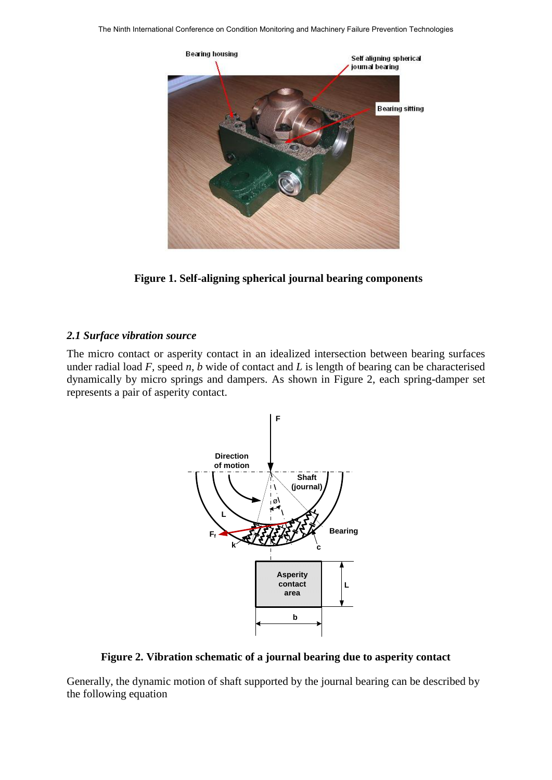

**Figure 1. Self-aligning spherical journal bearing components**

#### *2.1 Surface vibration source*

The micro contact or asperity contact in an idealized intersection between bearing surfaces under radial load *F,* speed *n, b* wide of contact and *L* is length of bearing can be characterised dynamically by micro springs and dampers. As shown in Figure 2, each spring-damper set represents a pair of asperity contact.



**Figure 2. Vibration schematic of a journal bearing due to asperity contact**

Generally, the dynamic motion of shaft supported by the journal bearing can be described by the following equation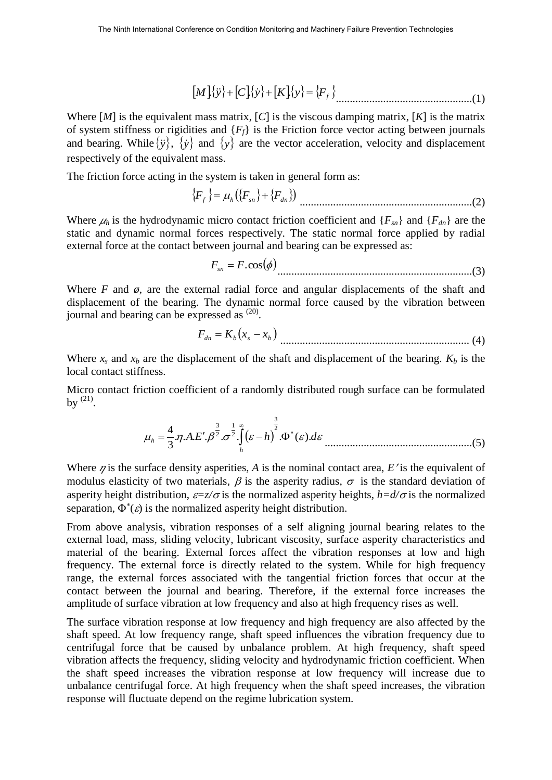$$
[M]{\mathbf{y}} + [C]{\mathbf{y}} + [K]{\mathbf{y}} = {F_f}
$$

Where [*M*] is the equivalent mass matrix, [*C*] is the viscous damping matrix, [*K*] is the matrix of system stiffness or rigidities and {*Ff*} is the Friction force vector acting between journals and bearing. While  $\{\ddot{y}\}\$ ,  $\{\dot{y}\}\$  and  $\{y\}$  are the vector acceleration, velocity and displacement respectively of the equivalent mass.

The friction force acting in the system is taken in general form as:

$$
\{F_f\} = \mu_h(\{F_{sn}\} + \{F_{dn}\})
$$
.................(2)

Where  $\mu_h$  is the hydrodynamic micro contact friction coefficient and  $\{F_{sn}\}\$  and  $\{F_{dn}\}\$  are the static and dynamic normal forces respectively. The static normal force applied by radial external force at the contact between journal and bearing can be expressed as:

$$
F_{sn} = F \cdot \cos(\phi) \tag{3}
$$

Where  $F$  and  $\phi$ , are the external radial force and angular displacements of the shaft and displacement of the bearing. The dynamic normal force caused by the vibration between journal and bearing can be expressed as <sup>(20)</sup>.

 *dn <sup>b</sup> <sup>s</sup> <sup>b</sup> F K x x* .................................................................... (4)

Where  $x_s$  and  $x_b$  are the displacement of the shaft and displacement of the bearing.  $K_b$  is the local contact stiffness.

Micro contact friction coefficient of a randomly distributed rough surface can be formulated by  $^{(21)}$ .

$$
\mu_h = \frac{4}{3} \eta.A.E'.\beta^{\frac{3}{2}}.\sigma^{\frac{1}{2}}.\int_h^\infty (\varepsilon - h)^2.\Phi^*(\varepsilon).d\varepsilon
$$
.................(5)

Where  $\eta$  is the surface density asperities, A is the nominal contact area,  $E'$  is the equivalent of modulus elasticity of two materials,  $\beta$  is the asperity radius,  $\sigma$  is the standard deviation of asperity height distribution,  $\varepsilon = z/\sigma$  is the normalized asperity heights,  $h = d/\sigma$  is the normalized separation,  $\Phi^*(\varepsilon)$  is the normalized asperity height distribution.

From above analysis, vibration responses of a self aligning journal bearing relates to the external load, mass, sliding velocity, lubricant viscosity, surface asperity characteristics and material of the bearing. External forces affect the vibration responses at low and high frequency. The external force is directly related to the system. While for high frequency range, the external forces associated with the tangential friction forces that occur at the contact between the journal and bearing. Therefore, if the external force increases the amplitude of surface vibration at low frequency and also at high frequency rises as well.

The surface vibration response at low frequency and high frequency are also affected by the shaft speed. At low frequency range, shaft speed influences the vibration frequency due to centrifugal force that be caused by unbalance problem. At high frequency, shaft speed vibration affects the frequency, sliding velocity and hydrodynamic friction coefficient. When the shaft speed increases the vibration response at low frequency will increase due to unbalance centrifugal force. At high frequency when the shaft speed increases, the vibration response will fluctuate depend on the regime lubrication system.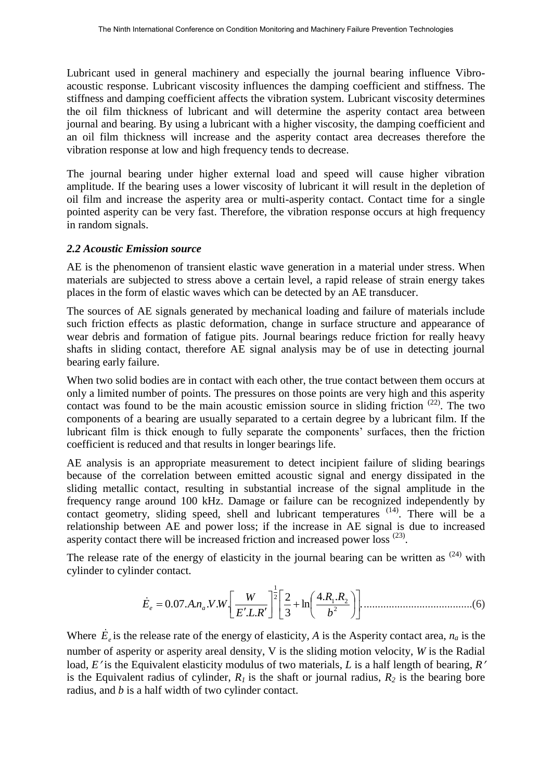Lubricant used in general machinery and especially the journal bearing influence Vibroacoustic response. Lubricant viscosity influences the damping coefficient and stiffness. The stiffness and damping coefficient affects the vibration system. Lubricant viscosity determines the oil film thickness of lubricant and will determine the asperity contact area between journal and bearing. By using a lubricant with a higher viscosity, the damping coefficient and an oil film thickness will increase and the asperity contact area decreases therefore the vibration response at low and high frequency tends to decrease.

The journal bearing under higher external load and speed will cause higher vibration amplitude. If the bearing uses a lower viscosity of lubricant it will result in the depletion of oil film and increase the asperity area or multi-asperity contact. Contact time for a single pointed asperity can be very fast. Therefore, the vibration response occurs at high frequency in random signals.

### *2.2 Acoustic Emission source*

AE is the phenomenon of transient elastic wave generation in a material under stress. When materials are subjected to stress above a certain level, a rapid release of strain energy takes places in the form of elastic waves which can be detected by an AE transducer.

The sources of AE signals generated by mechanical loading and failure of materials include such friction effects as plastic deformation, change in surface structure and appearance of wear debris and formation of fatigue pits. Journal bearings reduce friction for really heavy shafts in sliding contact, therefore AE signal analysis may be of use in detecting journal bearing early failure.

When two solid bodies are in contact with each other, the true contact between them occurs at only a limited number of points. The pressures on those points are very high and this asperity contact was found to be the main acoustic emission source in sliding friction  $(22)$ . The two components of a bearing are usually separated to a certain degree by a lubricant film. If the lubricant film is thick enough to fully separate the components' surfaces, then the friction coefficient is reduced and that results in longer bearings life.

AE analysis is an appropriate measurement to detect incipient failure of sliding bearings because of the correlation between emitted acoustic signal and energy dissipated in the sliding metallic contact, resulting in substantial increase of the signal amplitude in the frequency range around 100 kHz. Damage or failure can be recognized independently by contact geometry, sliding speed, shell and lubricant temperatures <sup>(14)</sup>. There will be a relationship between AE and power loss; if the increase in AE signal is due to increased asperity contact there will be increased friction and increased power loss <sup>(23)</sup>.

The release rate of the energy of elasticity in the journal bearing can be written as  $(24)$  with cylinder to cylinder contact.

. 4. . ln 3 2 . . 0.07. . . . . 2 1 2 2 1 *b R R E L R W E <sup>e</sup> An<sup>a</sup> V W* .......................................(6)

Where  $\dot{E}_e$  is the release rate of the energy of elasticity, *A* is the Asperity contact area,  $n_a$  is the number of asperity or asperity areal density, V is the sliding motion velocity, *W* is the Radial load, *E'* is the Equivalent elasticity modulus of two materials, *L* is a half length of bearing, *R'* is the Equivalent radius of cylinder,  $R_I$  is the shaft or journal radius,  $R_2$  is the bearing bore radius, and *b* is a half width of two cylinder contact.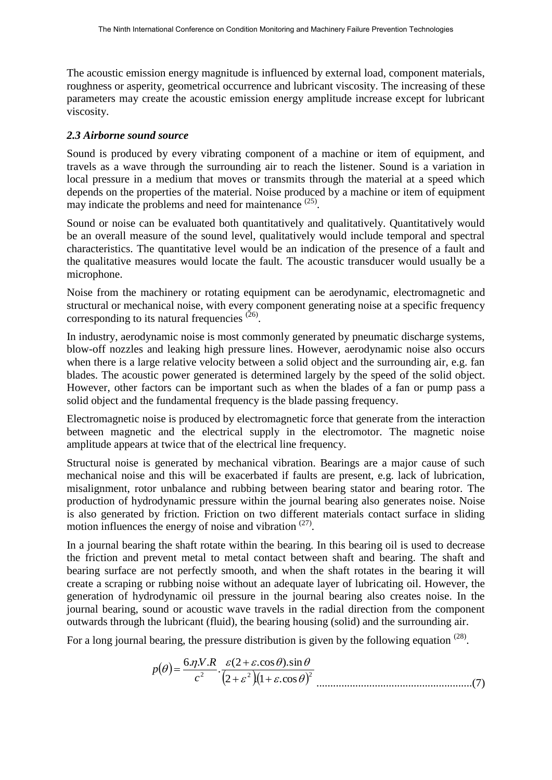The acoustic emission energy magnitude is influenced by external load, component materials, roughness or asperity, geometrical occurrence and lubricant viscosity. The increasing of these parameters may create the acoustic emission energy amplitude increase except for lubricant viscosity.

### *2.3 Airborne sound source*

Sound is produced by every vibrating component of a machine or item of equipment, and travels as a wave through the surrounding air to reach the listener. Sound is a variation in local pressure in a medium that moves or transmits through the material at a speed which depends on the properties of the material. Noise produced by a machine or item of equipment may indicate the problems and need for maintenance <sup>(25)</sup>.

Sound or noise can be evaluated both quantitatively and qualitatively. Quantitatively would be an overall measure of the sound level, qualitatively would include temporal and spectral characteristics. The quantitative level would be an indication of the presence of a fault and the qualitative measures would locate the fault. The acoustic transducer would usually be a microphone.

Noise from the machinery or rotating equipment can be aerodynamic, electromagnetic and structural or mechanical noise, with every component generating noise at a specific frequency corresponding to its natural frequencies  $(26)$ .

In industry, aerodynamic noise is most commonly generated by pneumatic discharge systems, blow-off nozzles and leaking high pressure lines. However, aerodynamic noise also occurs when there is a large relative velocity between a solid object and the surrounding air, e.g. fan blades. The acoustic power generated is determined largely by the speed of the solid object. However, other factors can be important such as when the blades of a fan or pump pass a solid object and the fundamental frequency is the blade passing frequency.

Electromagnetic noise is produced by electromagnetic force that generate from the interaction between magnetic and the electrical supply in the electromotor. The magnetic noise amplitude appears at twice that of the electrical line frequency.

Structural noise is generated by mechanical vibration. Bearings are a major cause of such mechanical noise and this will be exacerbated if faults are present, e.g. lack of lubrication, misalignment, rotor unbalance and rubbing between bearing stator and bearing rotor. The production of hydrodynamic pressure within the journal bearing also generates noise. Noise is also generated by friction. Friction on two different materials contact surface in sliding motion influences the energy of noise and vibration  $(27)$ .

In a journal bearing the shaft rotate within the bearing. In this bearing oil is used to decrease the friction and prevent metal to metal contact between shaft and bearing. The shaft and bearing surface are not perfectly smooth, and when the shaft rotates in the bearing it will create a scraping or rubbing noise without an adequate layer of lubricating oil. However, the generation of hydrodynamic oil pressure in the journal bearing also creates noise. In the journal bearing, sound or acoustic wave travels in the radial direction from the component outwards through the lubricant (fluid), the bearing housing (solid) and the surrounding air.

For a long journal bearing, the pressure distribution is given by the following equation  $(28)$ .

$$
p(\theta) = \frac{6 \cdot \eta \cdot N \cdot R}{c^2} \cdot \frac{\varepsilon (2 + \varepsilon \cdot \cos \theta) \cdot \sin \theta}{(2 + \varepsilon^2)(1 + \varepsilon \cdot \cos \theta)^2}
$$
.................(7)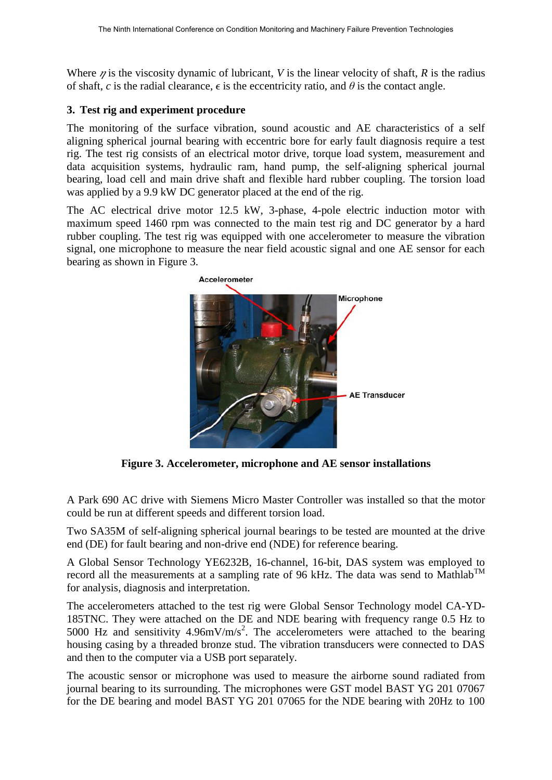Where  $\eta$  is the viscosity dynamic of lubricant, *V* is the linear velocity of shaft, *R* is the radius of shaft, *c* is the radial clearance,  $\epsilon$  is the eccentricity ratio, and  $\theta$  is the contact angle.

### **3. Test rig and experiment procedure**

The monitoring of the surface vibration, sound acoustic and AE characteristics of a self aligning spherical journal bearing with eccentric bore for early fault diagnosis require a test rig. The test rig consists of an electrical motor drive, torque load system, measurement and data acquisition systems, hydraulic ram, hand pump, the self-aligning spherical journal bearing, load cell and main drive shaft and flexible hard rubber coupling. The torsion load was applied by a 9.9 kW DC generator placed at the end of the rig.

The AC electrical drive motor 12.5 kW, 3-phase, 4-pole electric induction motor with maximum speed 1460 rpm was connected to the main test rig and DC generator by a hard rubber coupling. The test rig was equipped with one accelerometer to measure the vibration signal, one microphone to measure the near field acoustic signal and one AE sensor for each bearing as shown in Figure 3.



**Figure 3. Accelerometer, microphone and AE sensor installations** 

A Park 690 AC drive with Siemens Micro Master Controller was installed so that the motor could be run at different speeds and different torsion load.

Two SA35M of self-aligning spherical journal bearings to be tested are mounted at the drive end (DE) for fault bearing and non-drive end (NDE) for reference bearing.

A Global Sensor Technology YE6232B, 16-channel, 16-bit, DAS system was employed to record all the measurements at a sampling rate of 96 kHz. The data was send to Mathlab<sup>TM</sup> for analysis, diagnosis and interpretation.

The accelerometers attached to the test rig were Global Sensor Technology model CA-YD-185TNC. They were attached on the DE and NDE bearing with frequency range 0.5 Hz to 5000 Hz and sensitivity  $4.96$ mV/m/s<sup>2</sup>. The accelerometers were attached to the bearing housing casing by a threaded bronze stud. The vibration transducers were connected to DAS and then to the computer via a USB port separately.

The acoustic sensor or microphone was used to measure the airborne sound radiated from journal bearing to its surrounding. The microphones were GST model BAST YG 201 07067 for the DE bearing and model BAST YG 201 07065 for the NDE bearing with 20Hz to 100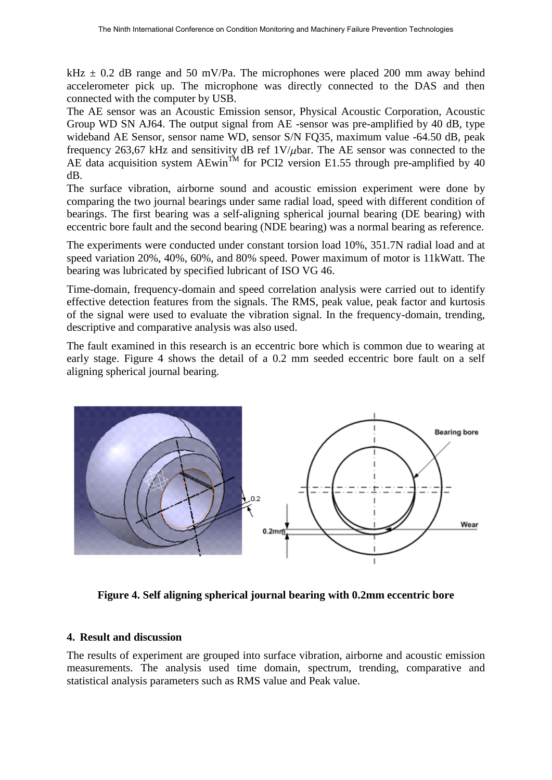kHz  $\pm$  0.2 dB range and 50 mV/Pa. The microphones were placed 200 mm away behind accelerometer pick up. The microphone was directly connected to the DAS and then connected with the computer by USB.

The AE sensor was an Acoustic Emission sensor, Physical Acoustic Corporation, Acoustic Group WD SN AJ64. The output signal from AE -sensor was pre-amplified by 40 dB, type wideband AE Sensor, sensor name WD, sensor S/N FQ35, maximum value -64.50 dB, peak frequency 263,67 kHz and sensitivity dB ref  $1 \text{V}/\mu$ bar. The AE sensor was connected to the AE data acquisition system AEwin<sup>TM</sup> for PCI2 version E1.55 through pre-amplified by 40 dB.

The surface vibration, airborne sound and acoustic emission experiment were done by comparing the two journal bearings under same radial load, speed with different condition of bearings. The first bearing was a self-aligning spherical journal bearing (DE bearing) with eccentric bore fault and the second bearing (NDE bearing) was a normal bearing as reference.

The experiments were conducted under constant torsion load 10%, 351.7N radial load and at speed variation 20%, 40%, 60%, and 80% speed. Power maximum of motor is 11kWatt. The bearing was lubricated by specified lubricant of ISO VG 46.

Time-domain, frequency-domain and speed correlation analysis were carried out to identify effective detection features from the signals. The RMS, peak value, peak factor and kurtosis of the signal were used to evaluate the vibration signal. In the frequency-domain, trending, descriptive and comparative analysis was also used.

The fault examined in this research is an eccentric bore which is common due to wearing at early stage. Figure 4 shows the detail of a 0.2 mm seeded eccentric bore fault on a self aligning spherical journal bearing.



**Figure 4. Self aligning spherical journal bearing with 0.2mm eccentric bore** 

### **4. Result and discussion**

The results of experiment are grouped into surface vibration, airborne and acoustic emission measurements. The analysis used time domain, spectrum, trending, comparative and statistical analysis parameters such as RMS value and Peak value.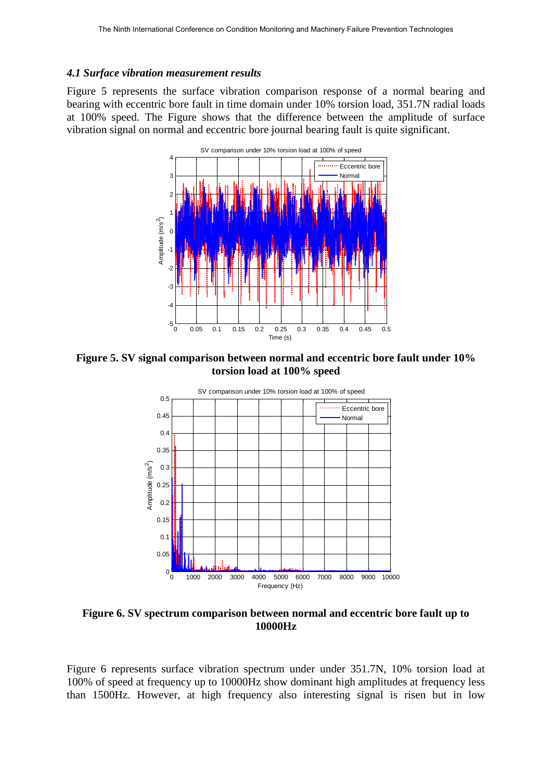#### *4.1 Surface vibration measurement results*

Figure 5 represents the surface vibration comparison response of a normal bearing and bearing with eccentric bore fault in time domain under 10% torsion load, 351.7N radial loads at 100% speed. The Figure shows that the difference between the amplitude of surface vibration signal on normal and eccentric bore journal bearing fault is quite significant.



**Figure 5. SV signal comparison between normal and eccentric bore fault under 10% torsion load at 100% speed** 



**Figure 6. SV spectrum comparison between normal and eccentric bore fault up to 10000Hz** 

Figure 6 represents surface vibration spectrum under under 351.7N, 10% torsion load at 100% of speed at frequency up to 10000Hz show dominant high amplitudes at frequency less than 1500Hz. However, at high frequency also interesting signal is risen but in low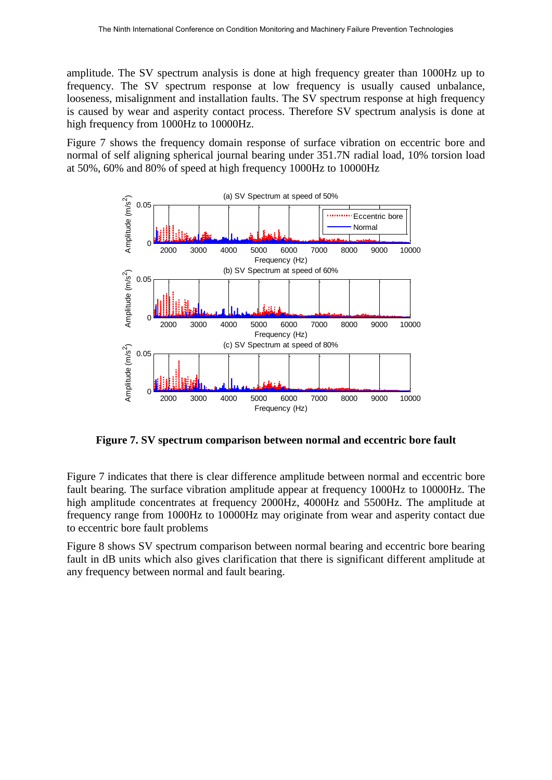amplitude. The SV spectrum analysis is done at high frequency greater than 1000Hz up to frequency. The SV spectrum response at low frequency is usually caused unbalance, looseness, misalignment and installation faults. The SV spectrum response at high frequency is caused by wear and asperity contact process. Therefore SV spectrum analysis is done at high frequency from 1000Hz to 10000Hz.

Figure 7 shows the frequency domain response of surface vibration on eccentric bore and normal of self aligning spherical journal bearing under 351.7N radial load, 10% torsion load at 50%, 60% and 80% of speed at high frequency 1000Hz to 10000Hz



**Figure 7. SV spectrum comparison between normal and eccentric bore fault** 

Figure 7 indicates that there is clear difference amplitude between normal and eccentric bore fault bearing. The surface vibration amplitude appear at frequency 1000Hz to 10000Hz. The high amplitude concentrates at frequency 2000Hz, 4000Hz and 5500Hz. The amplitude at frequency range from 1000Hz to 10000Hz may originate from wear and asperity contact due to eccentric bore fault problems

Figure 8 shows SV spectrum comparison between normal bearing and eccentric bore bearing fault in dB units which also gives clarification that there is significant different amplitude at any frequency between normal and fault bearing.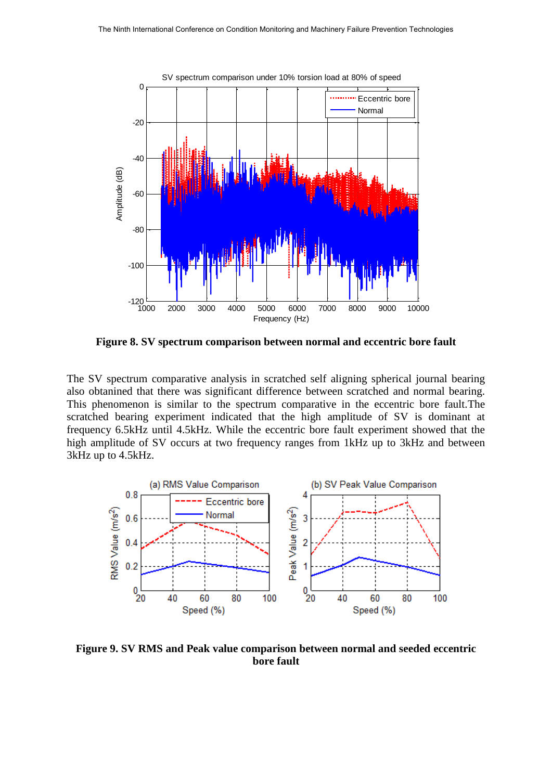

**Figure 8. SV spectrum comparison between normal and eccentric bore fault** 

The SV spectrum comparative analysis in scratched self aligning spherical journal bearing also obtanined that there was significant difference between scratched and normal bearing. This phenomenon is similar to the spectrum comparative in the eccentric bore fault.The scratched bearing experiment indicated that the high amplitude of SV is dominant at frequency 6.5kHz until 4.5kHz. While the eccentric bore fault experiment showed that the high amplitude of SV occurs at two frequency ranges from 1kHz up to 3kHz and between 3kHz up to 4.5kHz.



**Figure 9. SV RMS and Peak value comparison between normal and seeded eccentric bore fault**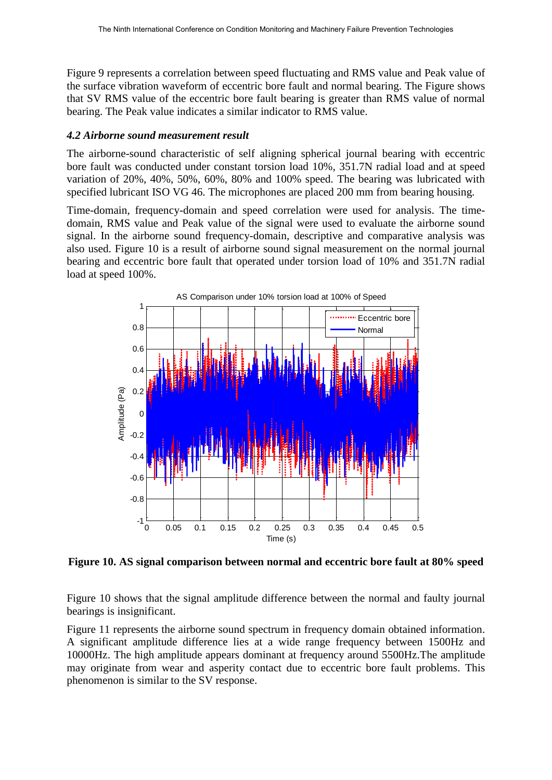Figure 9 represents a correlation between speed fluctuating and RMS value and Peak value of the surface vibration waveform of eccentric bore fault and normal bearing. The Figure shows that SV RMS value of the eccentric bore fault bearing is greater than RMS value of normal bearing. The Peak value indicates a similar indicator to RMS value.

#### *4.2 Airborne sound measurement result*

The airborne-sound characteristic of self aligning spherical journal bearing with eccentric bore fault was conducted under constant torsion load 10%, 351.7N radial load and at speed variation of 20%, 40%, 50%, 60%, 80% and 100% speed. The bearing was lubricated with specified lubricant ISO VG 46. The microphones are placed 200 mm from bearing housing.

Time-domain, frequency-domain and speed correlation were used for analysis. The timedomain, RMS value and Peak value of the signal were used to evaluate the airborne sound signal. In the airborne sound frequency-domain, descriptive and comparative analysis was also used. Figure 10 is a result of airborne sound signal measurement on the normal journal bearing and eccentric bore fault that operated under torsion load of 10% and 351.7N radial load at speed 100%.



**Figure 10. AS signal comparison between normal and eccentric bore fault at 80% speed** 

Figure 10 shows that the signal amplitude difference between the normal and faulty journal bearings is insignificant.

Figure 11 represents the airborne sound spectrum in frequency domain obtained information. A significant amplitude difference lies at a wide range frequency between 1500Hz and 10000Hz. The high amplitude appears dominant at frequency around 5500Hz.The amplitude may originate from wear and asperity contact due to eccentric bore fault problems. This phenomenon is similar to the SV response.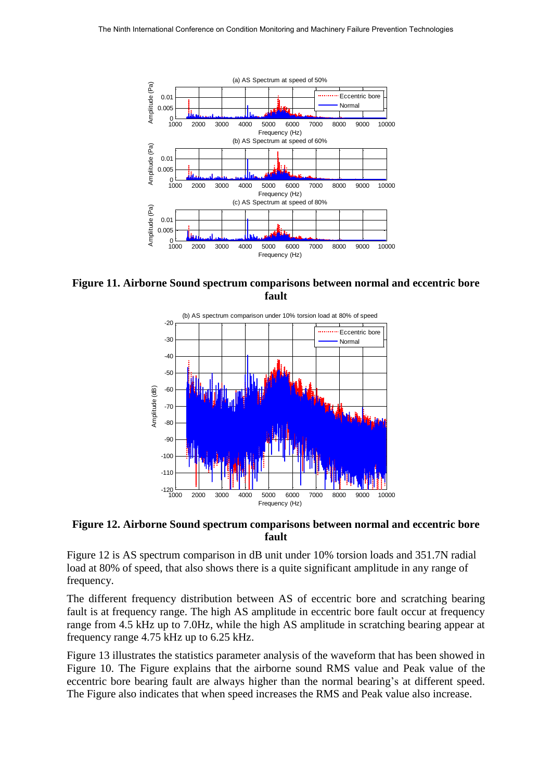

**Figure 11. Airborne Sound spectrum comparisons between normal and eccentric bore fault** 



**Figure 12. Airborne Sound spectrum comparisons between normal and eccentric bore fault** 

Figure 12 is AS spectrum comparison in dB unit under 10% torsion loads and 351.7N radial load at 80% of speed, that also shows there is a quite significant amplitude in any range of frequency.

The different frequency distribution between AS of eccentric bore and scratching bearing fault is at frequency range. The high AS amplitude in eccentric bore fault occur at frequency range from 4.5 kHz up to 7.0Hz, while the high AS amplitude in scratching bearing appear at frequency range 4.75 kHz up to 6.25 kHz.

Figure 13 illustrates the statistics parameter analysis of the waveform that has been showed in Figure 10. The Figure explains that the airborne sound RMS value and Peak value of the eccentric bore bearing fault are always higher than the normal bearing's at different speed. The Figure also indicates that when speed increases the RMS and Peak value also increase.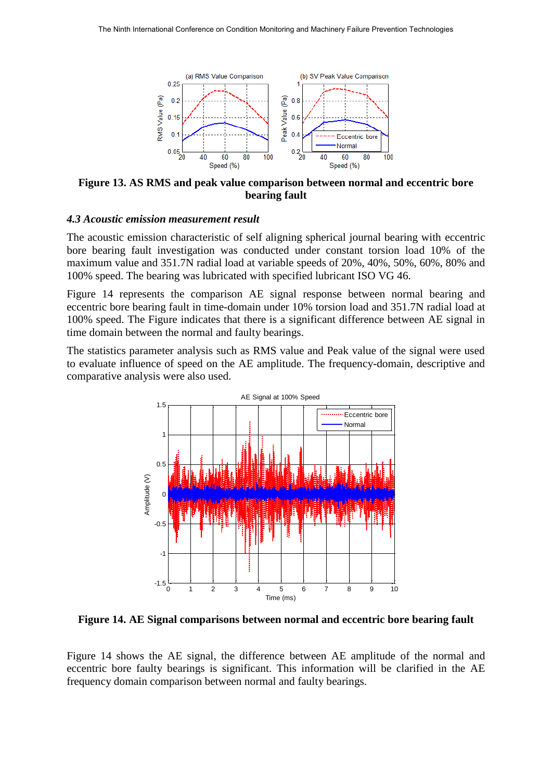

**Figure 13. AS RMS and peak value comparison between normal and eccentric bore bearing fault** 

#### *4.3 Acoustic emission measurement result*

The acoustic emission characteristic of self aligning spherical journal bearing with eccentric bore bearing fault investigation was conducted under constant torsion load 10% of the maximum value and 351.7N radial load at variable speeds of 20%, 40%, 50%, 60%, 80% and 100% speed. The bearing was lubricated with specified lubricant ISO VG 46.

Figure 14 represents the comparison AE signal response between normal bearing and eccentric bore bearing fault in time-domain under 10% torsion load and 351.7N radial load at 100% speed. The Figure indicates that there is a significant difference between AE signal in time domain between the normal and faulty bearings.

The statistics parameter analysis such as RMS value and Peak value of the signal were used to evaluate influence of speed on the AE amplitude. The frequency-domain, descriptive and comparative analysis were also used.



**Figure 14. AE Signal comparisons between normal and eccentric bore bearing fault** 

Figure 14 shows the AE signal, the difference between AE amplitude of the normal and eccentric bore faulty bearings is significant. This information will be clarified in the AE frequency domain comparison between normal and faulty bearings.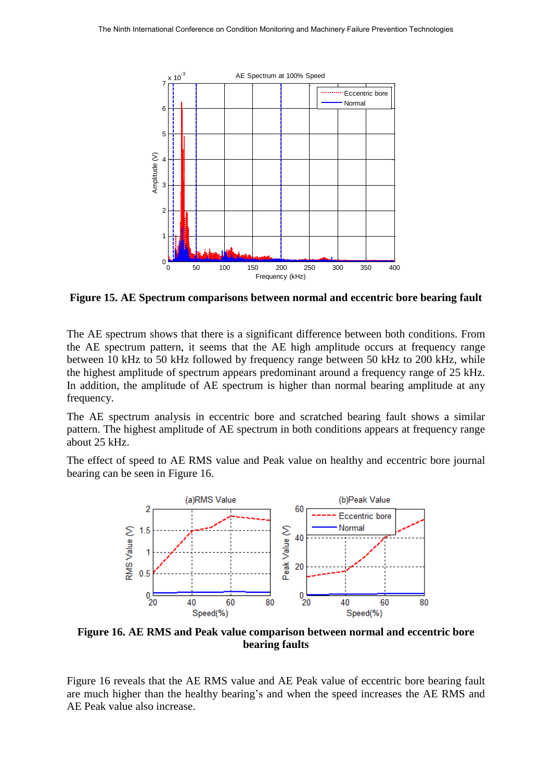

**Figure 15. AE Spectrum comparisons between normal and eccentric bore bearing fault** 

The AE spectrum shows that there is a significant difference between both conditions. From the AE spectrum pattern, it seems that the AE high amplitude occurs at frequency range between 10 kHz to 50 kHz followed by frequency range between 50 kHz to 200 kHz, while the highest amplitude of spectrum appears predominant around a frequency range of 25 kHz. In addition, the amplitude of AE spectrum is higher than normal bearing amplitude at any frequency.

The AE spectrum analysis in eccentric bore and scratched bearing fault shows a similar pattern. The highest amplitude of AE spectrum in both conditions appears at frequency range about 25 kHz.

The effect of speed to AE RMS value and Peak value on healthy and eccentric bore journal bearing can be seen in Figure 16.



**Figure 16. AE RMS and Peak value comparison between normal and eccentric bore bearing faults** 

Figure 16 reveals that the AE RMS value and AE Peak value of eccentric bore bearing fault are much higher than the healthy bearing's and when the speed increases the AE RMS and AE Peak value also increase.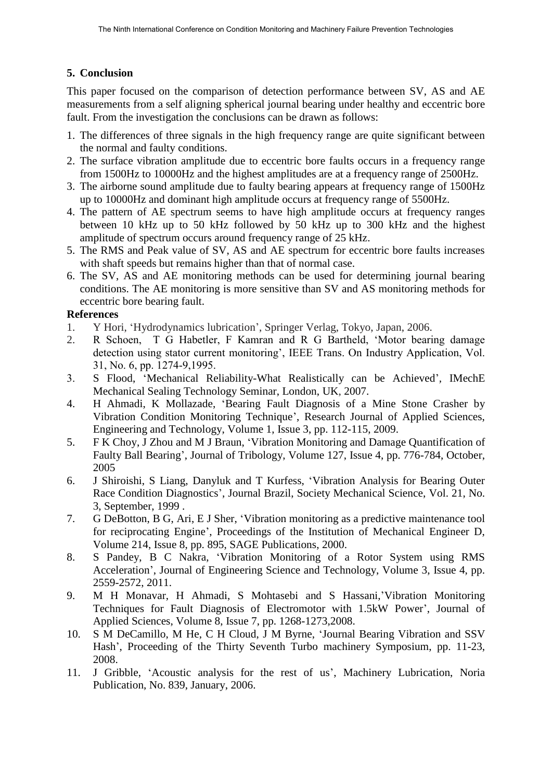# **5. Conclusion**

This paper focused on the comparison of detection performance between SV, AS and AE measurements from a self aligning spherical journal bearing under healthy and eccentric bore fault. From the investigation the conclusions can be drawn as follows:

- 1. The differences of three signals in the high frequency range are quite significant between the normal and faulty conditions.
- 2. The surface vibration amplitude due to eccentric bore faults occurs in a frequency range from 1500Hz to 10000Hz and the highest amplitudes are at a frequency range of 2500Hz.
- 3. The airborne sound amplitude due to faulty bearing appears at frequency range of 1500Hz up to 10000Hz and dominant high amplitude occurs at frequency range of 5500Hz.
- 4. The pattern of AE spectrum seems to have high amplitude occurs at frequency ranges between 10 kHz up to 50 kHz followed by 50 kHz up to 300 kHz and the highest amplitude of spectrum occurs around frequency range of 25 kHz.
- 5. The RMS and Peak value of SV, AS and AE spectrum for eccentric bore faults increases with shaft speeds but remains higher than that of normal case.
- 6. The SV, AS and AE monitoring methods can be used for determining journal bearing conditions. The AE monitoring is more sensitive than SV and AS monitoring methods for eccentric bore bearing fault.

## **References**

- 1. Y Hori, 'Hydrodynamics lubrication', Springer Verlag, Tokyo, Japan, 2006.
- 2. R Schoen, T G Habetler, F Kamran and R G Bartheld, 'Motor bearing damage detection using stator current monitoring', IEEE Trans. On Industry Application, Vol. 31, No. 6, pp. 1274-9,1995.
- 3. S Flood, 'Mechanical Reliability-What Realistically can be Achieved'*,* IMechE Mechanical Sealing Technology Seminar, London, UK, 2007.
- 4. H Ahmadi, K Mollazade, 'Bearing Fault Diagnosis of a Mine Stone Crasher by Vibration Condition Monitoring Technique', Research Journal of Applied Sciences, Engineering and Technology, Volume 1, Issue 3, pp. 112-115, 2009.
- 5. F K Choy, J Zhou and M J Braun, 'Vibration Monitoring and Damage Quantification of Faulty Ball Bearing', Journal of Tribology, Volume 127, Issue 4, pp. 776-784, October, 2005
- 6. J Shiroishi, S Liang, Danyluk and T Kurfess, 'Vibration Analysis for Bearing Outer Race Condition Diagnostics', Journal Brazil, Society Mechanical Science, Vol. 21, No. 3, September, 1999 .
- 7. G DeBotton, B G, Ari, E J Sher, 'Vibration monitoring as a predictive maintenance tool for reciprocating Engine', Proceedings of the Institution of Mechanical Engineer D, Volume 214, Issue 8, pp. 895, SAGE Publications, 2000.
- 8. S Pandey, B C Nakra, 'Vibration Monitoring of a Rotor System using RMS Acceleration', Journal of Engineering Science and Technology, Volume 3, Issue 4, pp. 2559-2572, 2011.
- 9. M H Monavar, H Ahmadi, S Mohtasebi and S Hassani,'Vibration Monitoring Techniques for Fault Diagnosis of Electromotor with 1.5kW Power', Journal of Applied Sciences, Volume 8, Issue 7, pp. 1268-1273,2008.
- 10. S M DeCamillo, M He, C H Cloud, J M Byrne, 'Journal Bearing Vibration and SSV Hash', Proceeding of the Thirty Seventh Turbo machinery Symposium, pp. 11-23, 2008.
- 11. J Gribble, 'Acoustic analysis for the rest of us', Machinery Lubrication, Noria Publication, No. 839, January, 2006.